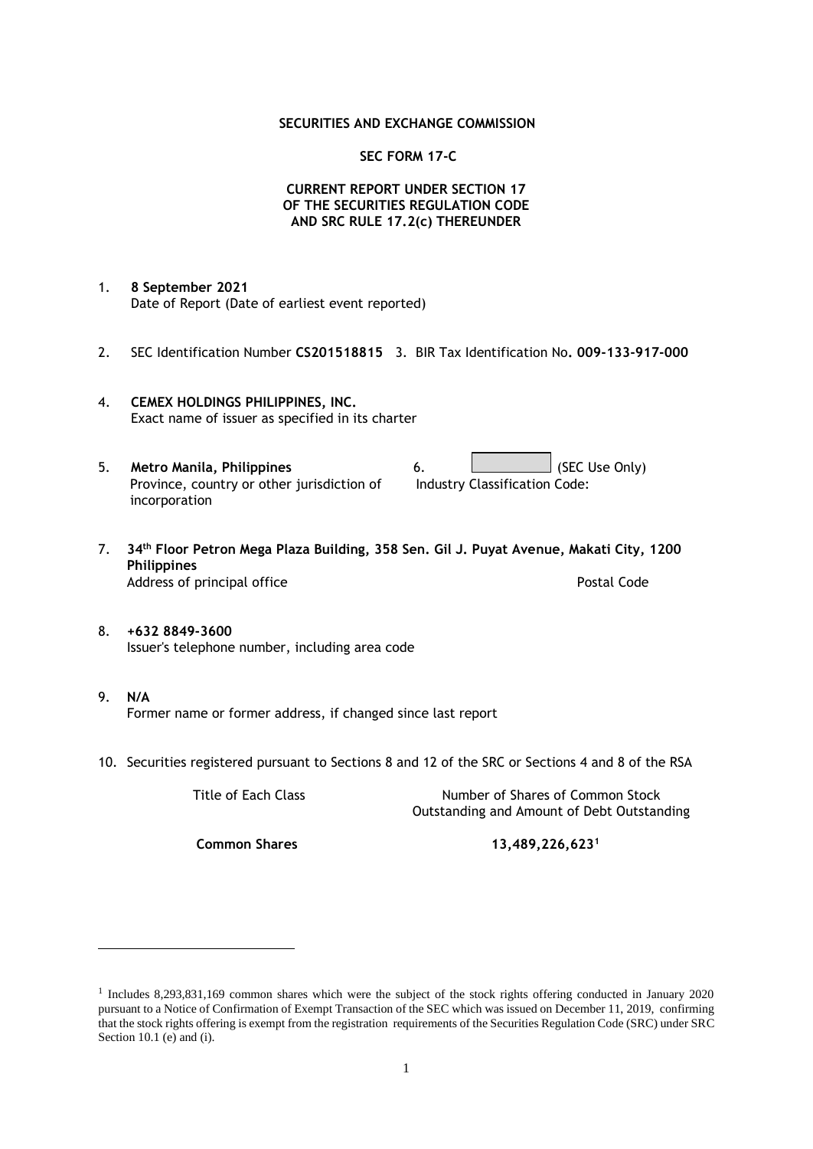## **SECURITIES AND EXCHANGE COMMISSION**

## **SEC FORM 17-C**

## **CURRENT REPORT UNDER SECTION 17 OF THE SECURITIES REGULATION CODE AND SRC RULE 17.2(c) THEREUNDER**

- 1. **8 September 2021** Date of Report (Date of earliest event reported)
- 2. SEC Identification Number **CS201518815** 3. BIR Tax Identification No**. 009-133-917-000**
- 4. **CEMEX HOLDINGS PHILIPPINES, INC.** Exact name of issuer as specified in its charter
- 5. **Metro Manila, Philippines** 6. **Consumers 6.** (SEC Use Only) Province, country or other jurisdiction of incorporation Industry Classification Code:
- 7. **34th Floor Petron Mega Plaza Building, 358 Sen. Gil J. Puyat Avenue, Makati City, 1200 Philippines** Address of principal office **Postal Code** Postal Code
- 8. **+632 8849-3600** Issuer's telephone number, including area code
- 9. **N/A** Former name or former address, if changed since last report
- 10. Securities registered pursuant to Sections 8 and 12 of the SRC or Sections 4 and 8 of the RSA

Title of Each Class Number of Shares of Common Stock Outstanding and Amount of Debt Outstanding

**Common Shares 13,489,226,623<sup>1</sup>**

<sup>1</sup> Includes 8,293,831,169 common shares which were the subject of the stock rights offering conducted in January 2020 pursuant to a Notice of Confirmation of Exempt Transaction of the SEC which was issued on December 11, 2019, confirming that the stock rights offering is exempt from the registration requirements of the Securities Regulation Code (SRC) under SRC Section 10.1 (e) and (i).